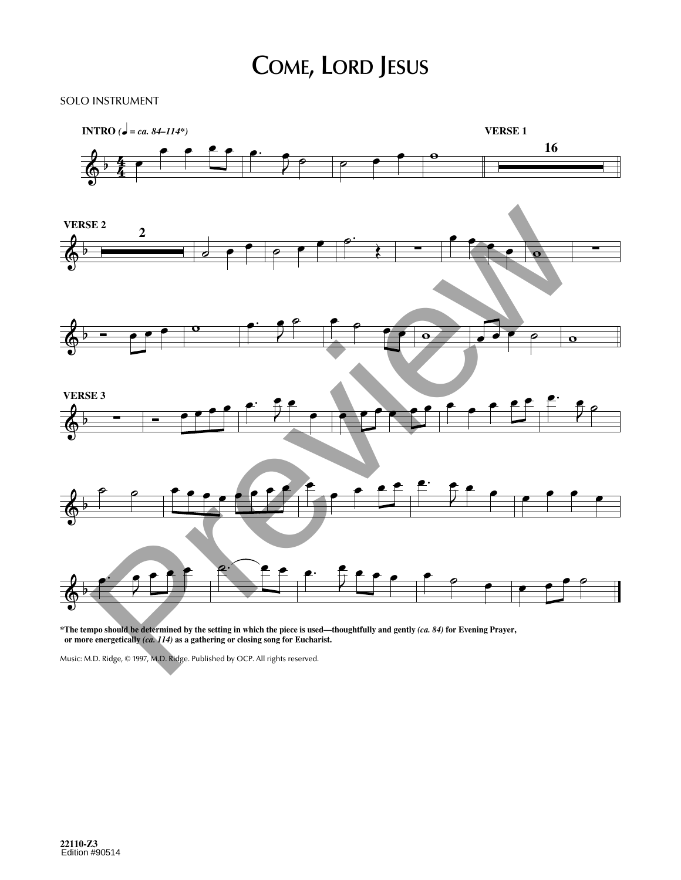## **COME, LORD JESUS**

## SOLO INSTRUMENT



\*The tempo should be determined by the setting in which the piece is used—thoughtfully and gently (ca. 84) for Evening Prayer, **or more energetically** *(ca. 114)* **as a gathering or closing song for Eucharist.**

Music: M.D. Ridge, © 1997, M.D. Ridge. Published by OCP. All rights reserved.